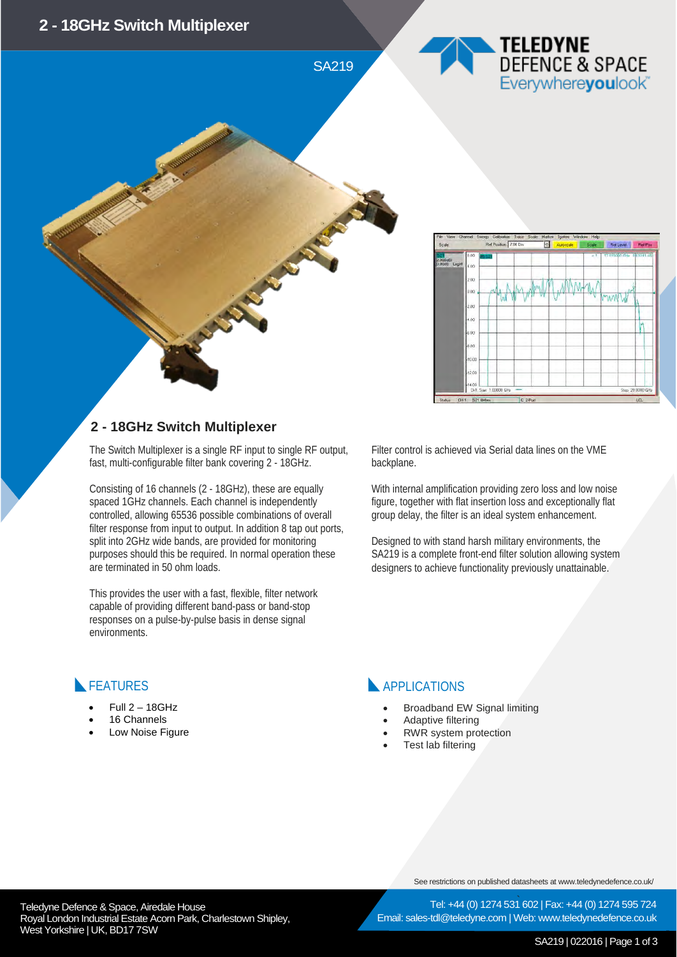SA219

## TELEDYNE DEFENCE & SPACE Everywhereyoulook



# 冨

### **2 - 18GHz Switch Multiplexer**

The Switch Multiplexer is a single RF input to single RF output, fast, multi-configurable filter bank covering 2 - 18GHz.

Consisting of 16 channels (2 - 18GHz), these are equally spaced 1GHz channels. Each channel is independently controlled, allowing 65536 possible combinations of overall filter response from input to output. In addition 8 tap out ports, split into 2GHz wide bands, are provided for monitoring purposes should this be required. In normal operation these are terminated in 50 ohm loads.

This provides the user with a fast, flexible, filter network capable of providing different band-pass or band-stop responses on a pulse-by-pulse basis in dense signal environments.

Filter control is achieved via Serial data lines on the VME backplane.

With internal amplification providing zero loss and low noise figure, together with flat insertion loss and exceptionally flat group delay, the filter is an ideal system enhancement.

Designed to with stand harsh military environments, the SA219 is a complete front-end filter solution allowing system designers to achieve functionality previously unattainable.

### **FEATURES**

- $Full 2 18GHz$
- 16 Channels
- Low Noise Figure

### APPLICATIONS

- Broadband EW Signal limiting
- Adaptive filtering
- RWR system protection
- Test lab filtering

See restrictions on published datasheets at www.teledynedefence.co.uk/

Tel: +44 (0) 1274 531 602 | Fax: +44 (0) 1274 595 724 Email: sales-tdl@teledyne.com | Web: www.teledynedefence.co.uk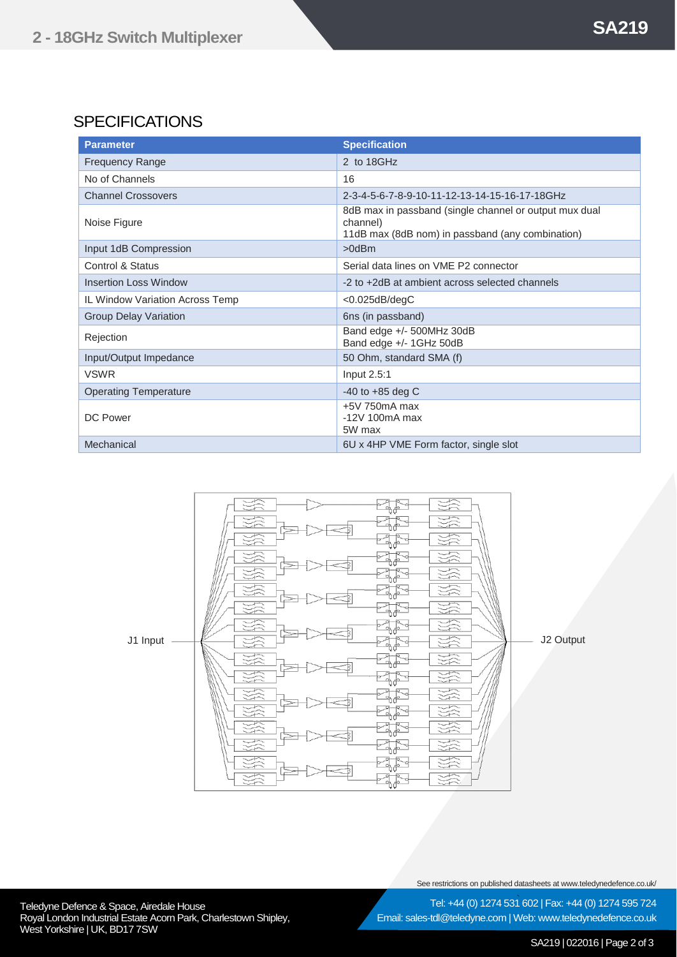### **SPECIFICATIONS**

| <b>Parameter</b>                | <b>Specification</b>                                                                                                   |
|---------------------------------|------------------------------------------------------------------------------------------------------------------------|
| <b>Frequency Range</b>          | 2 to 18GHz                                                                                                             |
| No of Channels                  | 16                                                                                                                     |
| <b>Channel Crossovers</b>       | 2-3-4-5-6-7-8-9-10-11-12-13-14-15-16-17-18GHz                                                                          |
| Noise Figure                    | 8dB max in passband (single channel or output mux dual<br>channel)<br>11dB max (8dB nom) in passband (any combination) |
| Input 1dB Compression           | $>0$ d $Bm$                                                                                                            |
| Control & Status                | Serial data lines on VME P2 connector                                                                                  |
| <b>Insertion Loss Window</b>    | -2 to +2dB at ambient across selected channels                                                                         |
| IL Window Variation Across Temp | $<$ 0.025dB/degC                                                                                                       |
| <b>Group Delay Variation</b>    | 6ns (in passband)                                                                                                      |
| Rejection                       | Band edge +/- 500MHz 30dB<br>Band edge +/- 1GHz 50dB                                                                   |
| Input/Output Impedance          | 50 Ohm, standard SMA (f)                                                                                               |
| <b>VSWR</b>                     | Input 2.5:1                                                                                                            |
| <b>Operating Temperature</b>    | -40 to $+85$ deg C                                                                                                     |
| DC Power                        | $+5V$ 750 $mA$ max<br>$-12V$ 100 $mA$ max<br>5W max                                                                    |
| Mechanical                      | 6U x 4HP VME Form factor, single slot                                                                                  |



See restrictions on published datasheets at www.teledynedefence.co.uk/

Teledyne Defence & Space, Airedale House and the state of the state of the Tel: +44 (0) 1274 531 Royal London Industrial Estate Acorn Park, Charlestown Shipley, West Yorkshire | UK, BD17 7SW

Tel: +44 (0) 1274 531 602 | Fax: +44 (0) 1274 595 724 Email: sales-tdl@teledyne.com | Web: www.teledynedefence.co.uk